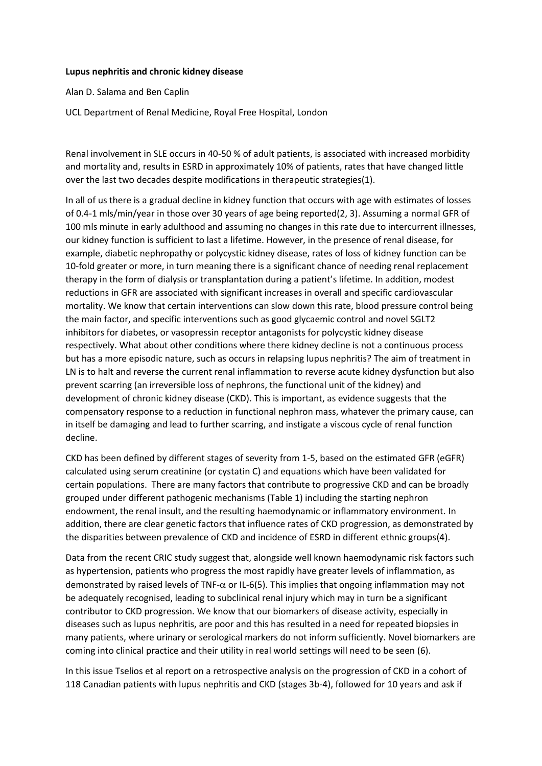## **Lupus nephritis and chronic kidney disease**

Alan D. Salama and Ben Caplin

UCL Department of Renal Medicine, Royal Free Hospital, London

Renal involvement in SLE occurs in 40-50 % of adult patients, is associated with increased morbidity and mortality and, results in ESRD in approximately 10% of patients, rates that have changed little over the last two decades despite modifications in therapeutic strategies(1).

In all of us there is a gradual decline in kidney function that occurs with age with estimates of losses of 0.4-1 mls/min/year in those over 30 years of age being reported(2, 3). Assuming a normal GFR of 100 mls minute in early adulthood and assuming no changes in this rate due to intercurrent illnesses, our kidney function is sufficient to last a lifetime. However, in the presence of renal disease, for example, diabetic nephropathy or polycystic kidney disease, rates of loss of kidney function can be 10-fold greater or more, in turn meaning there is a significant chance of needing renal replacement therapy in the form of dialysis or transplantation during a patient's lifetime. In addition, modest reductions in GFR are associated with significant increases in overall and specific cardiovascular mortality. We know that certain interventions can slow down this rate, blood pressure control being the main factor, and specific interventions such as good glycaemic control and novel SGLT2 inhibitors for diabetes, or vasopressin receptor antagonists for polycystic kidney disease respectively. What about other conditions where there kidney decline is not a continuous process but has a more episodic nature, such as occurs in relapsing lupus nephritis? The aim of treatment in LN is to halt and reverse the current renal inflammation to reverse acute kidney dysfunction but also prevent scarring (an irreversible loss of nephrons, the functional unit of the kidney) and development of chronic kidney disease (CKD). This is important, as evidence suggests that the compensatory response to a reduction in functional nephron mass, whatever the primary cause, can in itself be damaging and lead to further scarring, and instigate a viscous cycle of renal function decline.

CKD has been defined by different stages of severity from 1-5, based on the estimated GFR (eGFR) calculated using serum creatinine (or cystatin C) and equations which have been validated for certain populations. There are many factors that contribute to progressive CKD and can be broadly grouped under different pathogenic mechanisms (Table 1) including the starting nephron endowment, the renal insult, and the resulting haemodynamic or inflammatory environment. In addition, there are clear genetic factors that influence rates of CKD progression, as demonstrated by the disparities between prevalence of CKD and incidence of ESRD in different ethnic groups(4).

Data from the recent CRIC study suggest that, alongside well known haemodynamic risk factors such as hypertension, patients who progress the most rapidly have greater levels of inflammation, as demonstrated by raised levels of TNF- $\alpha$  or IL-6(5). This implies that ongoing inflammation may not be adequately recognised, leading to subclinical renal injury which may in turn be a significant contributor to CKD progression. We know that our biomarkers of disease activity, especially in diseases such as lupus nephritis, are poor and this has resulted in a need for repeated biopsies in many patients, where urinary or serological markers do not inform sufficiently. Novel biomarkers are coming into clinical practice and their utility in real world settings will need to be seen (6).

In this issue Tselios et al report on a retrospective analysis on the progression of CKD in a cohort of 118 Canadian patients with lupus nephritis and CKD (stages 3b-4), followed for 10 years and ask if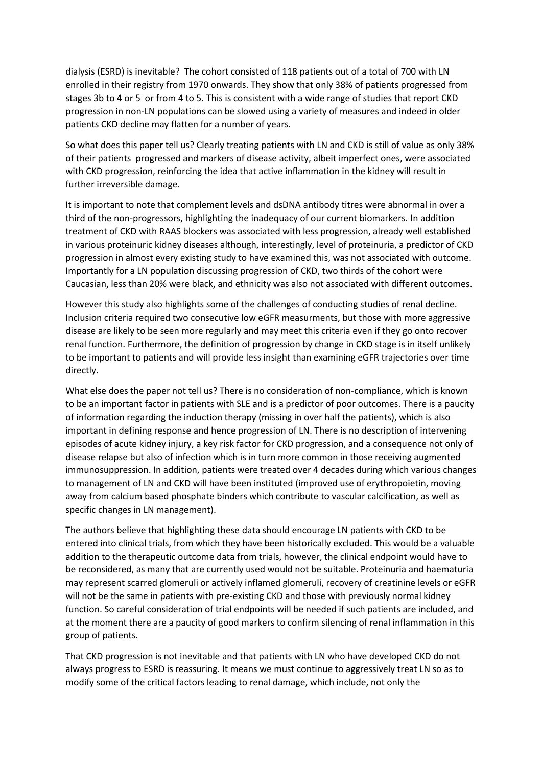dialysis (ESRD) is inevitable? The cohort consisted of 118 patients out of a total of 700 with LN enrolled in their registry from 1970 onwards. They show that only 38% of patients progressed from stages 3b to 4 or 5 or from 4 to 5. This is consistent with a wide range of studies that report CKD progression in non-LN populations can be slowed using a variety of measures and indeed in older patients CKD decline may flatten for a number of years.

So what does this paper tell us? Clearly treating patients with LN and CKD is still of value as only 38% of their patients progressed and markers of disease activity, albeit imperfect ones, were associated with CKD progression, reinforcing the idea that active inflammation in the kidney will result in further irreversible damage.

It is important to note that complement levels and dsDNA antibody titres were abnormal in over a third of the non-progressors, highlighting the inadequacy of our current biomarkers. In addition treatment of CKD with RAAS blockers was associated with less progression, already well established in various proteinuric kidney diseases although, interestingly, level of proteinuria, a predictor of CKD progression in almost every existing study to have examined this, was not associated with outcome. Importantly for a LN population discussing progression of CKD, two thirds of the cohort were Caucasian, less than 20% were black, and ethnicity was also not associated with different outcomes.

However this study also highlights some of the challenges of conducting studies of renal decline. Inclusion criteria required two consecutive low eGFR measurments, but those with more aggressive disease are likely to be seen more regularly and may meet this criteria even if they go onto recover renal function. Furthermore, the definition of progression by change in CKD stage is in itself unlikely to be important to patients and will provide less insight than examining eGFR trajectories over time directly.

What else does the paper not tell us? There is no consideration of non-compliance, which is known to be an important factor in patients with SLE and is a predictor of poor outcomes. There is a paucity of information regarding the induction therapy (missing in over half the patients), which is also important in defining response and hence progression of LN. There is no description of intervening episodes of acute kidney injury, a key risk factor for CKD progression, and a consequence not only of disease relapse but also of infection which is in turn more common in those receiving augmented immunosuppression. In addition, patients were treated over 4 decades during which various changes to management of LN and CKD will have been instituted (improved use of erythropoietin, moving away from calcium based phosphate binders which contribute to vascular calcification, as well as specific changes in LN management).

The authors believe that highlighting these data should encourage LN patients with CKD to be entered into clinical trials, from which they have been historically excluded. This would be a valuable addition to the therapeutic outcome data from trials, however, the clinical endpoint would have to be reconsidered, as many that are currently used would not be suitable. Proteinuria and haematuria may represent scarred glomeruli or actively inflamed glomeruli, recovery of creatinine levels or eGFR will not be the same in patients with pre-existing CKD and those with previously normal kidney function. So careful consideration of trial endpoints will be needed if such patients are included, and at the moment there are a paucity of good markers to confirm silencing of renal inflammation in this group of patients.

That CKD progression is not inevitable and that patients with LN who have developed CKD do not always progress to ESRD is reassuring. It means we must continue to aggressively treat LN so as to modify some of the critical factors leading to renal damage, which include, not only the